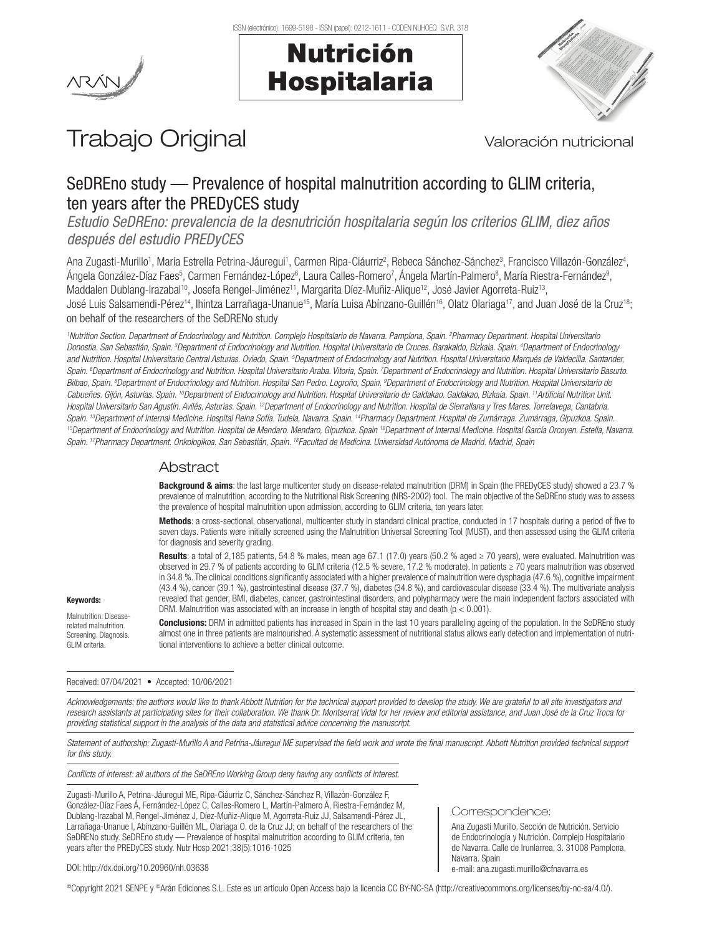



# Trabajo Original Valoración nutricional

# SeDREno study — Prevalence of hospital malnutrition according to GLIM criteria, ten years after the PREDyCES study

*Estudio SeDREno: prevalencia de la desnutrición hospitalaria según los criterios GLIM, diez años después del estudio PREDyCES*

Ana Zugasti-Murillo<sup>1</sup>, María Estrella Petrina-Jáuregui<sup>1</sup>, Carmen Ripa-Ciáurriz<sup>2</sup>, Rebeca Sánchez-Sánchez<sup>3</sup>, Francisco Villazón-González<sup>4</sup>, Ángela González-Díaz Faes<sup>5</sup>, Carmen Fernández-López<sup>6</sup>, Laura Calles-Romero<sup>7</sup>, Ángela Martín-Palmero<sup>8</sup>, María Riestra-Fernández<sup>9</sup>, Maddalen Dublang-Irazabal<sup>10</sup>, Josefa Rengel-Jiménez<sup>11</sup>, Margarita Díez-Muñiz-Alique<sup>12</sup>, José Javier Agorreta-Ruiz<sup>13</sup>, José Luis Salsamendi-Pérez<sup>14</sup>, Ihintza Larrañaga-Unanue<sup>15</sup>, María Luisa Abínzano-Guillén<sup>16</sup>, Olatz Olariaga<sup>17</sup>, and Juan José de la Cruz<sup>18</sup>; on behalf of the researchers of the SeDRENo study

*1 Nutrition Section. Department of Endocrinology and Nutrition. Complejo Hospitalario de Navarra. Pamplona, Spain. 2 Pharmacy Department. Hospital Universitario Donostia. San Sebastián, Spain. 3 Department of Endocrinology and Nutrition. Hospital Universitario de Cruces. Barakaldo, Bizkaia. Spain. 4 Department of Endocrinology*  and Nutrition. Hospital Universitario Central Asturias. Oviedo, Spain. <sup>5</sup>Department of Endocrinology and Nutrition. Hospital Universitario Marqués de Valdecilla. Santander, Spain. <sup>6</sup>Department of Endocrinology and Nutrition. Hospital Universitario Araba. Vitoria, Spain. <sup>7</sup>Department of Endocrinology and Nutrition. Hospital Universitario Basurto. Bilbao, Spain. <sup>8</sup>Department of Endocrinology and Nutrition. Hospital San Pedro. Logroño, Spain. <sup>9</sup>Department of Endocrinology and Nutrition. Hospital Universitario de Cabueñes. Gijón, Asturias. Spain. <sup>10</sup>Department of Endocrinology and Nutrition. Hospital Universitario de Galdakao, Galdakao, Bizkaia. Spain. <sup>11</sup>Artificial Nutrition Unit. Hospital Universitario San Agustín. Avilés, Asturias. Spain. <sup>12</sup>Department of Endocrinology and Nutrition. Hospital de Sierrallana y Tres Mares. Torrelavega, Cantabria.<br>Spain. <sup>13</sup>Department of Internal Medicine. Hospital <sup>15</sup>Department of Endocrinology and Nutrition. Hospital de Mendaro. Mendaro, Gipuzkoa. Spain <sup>16</sup>Department of Internal Medicine. Hospital García Orcoyen. Estella, Navarra. *Spain. 17Pharmacy Department. Onkologikoa. San Sebastián, Spain. 18Facultad de Medicina. Universidad Autónoma de Madrid. Madrid, Spain*

# Abstract

Background & aims: the last large multicenter study on disease-related malnutrition (DRM) in Spain (the PREDyCES study) showed a 23.7 % prevalence of malnutrition, according to the Nutritional Risk Screening (NRS-2002) tool. The main objective of the SeDREno study was to assess the prevalence of hospital malnutrition upon admission, according to GLIM criteria, ten years later.

Methods: a cross-sectional, observational, multicenter study in standard clinical practice, conducted in 17 hospitals during a period of five to seven days. Patients were initially screened using the Malnutrition Universal Screening Tool (MUST), and then assessed using the GLIM criteria for diagnosis and severity grading.

Results: a total of 2,185 patients, 54.8 % males, mean age 67.1 (17.0) years (50.2 % aged ≥ 70 years), were evaluated. Malnutrition was observed in 29.7 % of patients according to GLIM criteria (12.5 % severe, 17.2 % moderate). In patients ≥ 70 years malnutrition was observed in 34.8 %. The clinical conditions significantly associated with a higher prevalence of malnutrition were dysphagia (47.6 %), cognitive impairment (43.4 %), cancer (39.1 %), gastrointestinal disease (37.7 %), diabetes (34.8 %), and cardiovascular disease (33.4 %). The multivariate analysis revealed that gender, BMI, diabetes, cancer, gastrointestinal disorders, and polypharmacy were the main independent factors associated with DRM. Malnutrition was associated with an increase in length of hospital stay and death ( $p < 0.001$ ).

Malnutrition. Diseaserelated malnutrition. Screening. Diagnosis. GLIM criteria.

Keywords:

Conclusions: DRM in admitted patients has increased in Spain in the last 10 years paralleling ageing of the population. In the SeDREno study almost one in three patients are malnourished. A systematic assessment of nutritional status allows early detection and implementation of nutritional interventions to achieve a better clinical outcome.

Received: 07/04/2021 • Accepted: 10/06/2021

*Acknowledgements: the authors would like to thank Abbott Nutrition for the technical support provided to develop the study. We are grateful to all site investigators and research assistants at participating sites for their collaboration. We thank Dr. Montserrat Vidal for her review and editorial assistance, and Juan José de la Cruz Troca for providing statistical support in the analysis of the data and statistical advice concerning the manuscript.* 

Statement of authorship: Zugasti-Murillo A and Petrina-Jáuregui ME supervised the field work and wrote the final manuscript. Abbott Nutrition provided technical support *for this study.* 

*Conflicts of interest: all authors of the SeDREno Working Group deny having any conflicts of interest.* 

Zugasti-Murillo A, Petrina-Jáuregui ME, Ripa-Ciáurriz C, Sánchez-Sánchez R, Villazón-González F, González-Díaz Faes Á, Fernández-López C, Calles-Romero L, Martín-Palmero Á, Riestra-Fernández M, Dublang-Irazabal M, Rengel-Jiménez J, Díez-Muñiz-Alique M, Agorreta-Ruiz JJ, Salsamendi-Pérez JL, Larrañaga-Unanue I, Abínzano-Guillén ML, Olariaga O, de la Cruz JJ; on behalf of the researchers of the SeDRENo study. SeDREno study — Prevalence of hospital malnutrition according to GLIM criteria, ten years after the PREDyCES study. Nutr Hosp 2021;38(5):1016-1025

#### Correspondence:

Ana Zugasti Murillo. Sección de Nutrición. Servicio de Endocrinología y Nutrición. Complejo Hospitalario de Navarra. Calle de Irunlarrea, 3. 31008 Pamplona, Navarra. Spain e-mail: ana.zugasti.murillo@cfnavarra.es

DOI: http://dx.doi.org/10.20960/nh.03638

©Copyright 2021 SENPE y ©Arán Ediciones S.L. Este es un artículo Open Access bajo la licencia CC BY-NC-SA (http://creativecommons.org/licenses/by-nc-sa/4.0/).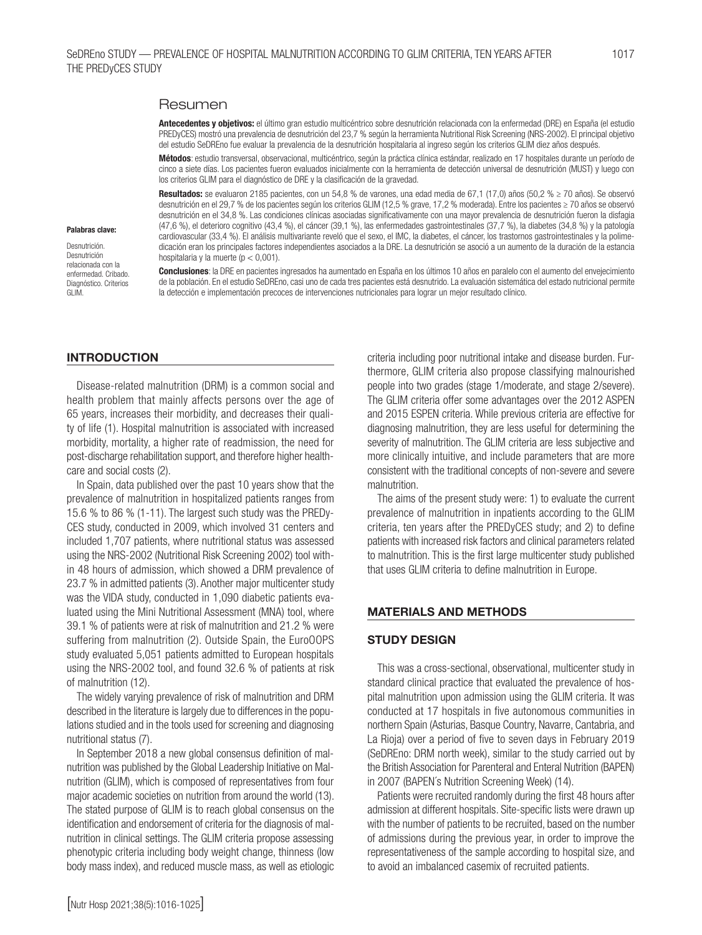# Resumen

Antecedentes y objetivos: el último gran estudio multicéntrico sobre desnutrición relacionada con la enfermedad (DRE) en España (el estudio PREDyCES) mostró una prevalencia de desnutrición del 23,7 % según la herramienta Nutritional Risk Screening (NRS-2002). El principal objetivo del estudio SeDREno fue evaluar la prevalencia de la desnutrición hospitalaria al ingreso según los criterios GLIM diez años después.

Métodos: estudio transversal, observacional, multicéntrico, según la práctica clínica estándar, realizado en 17 hospitales durante un período de cinco a siete días. Los pacientes fueron evaluados inicialmente con la herramienta de detección universal de desnutrición (MUST) y luego con los criterios GLIM para el diagnóstico de DRE y la clasificación de la gravedad.

Resultados: se evaluaron 2185 pacientes, con un 54,8 % de varones, una edad media de 67,1 (17,0) años (50,2 % ≥ 70 años). Se observó desnutrición en el 29,7 % de los pacientes según los criterios GLIM (12,5 % grave, 17,2 % moderada). Entre los pacientes ≥ 70 años se observó desnutrición en el 34,8 %. Las condiciones clínicas asociadas significativamente con una mayor prevalencia de desnutrición fueron la disfagia (47,6 %), el deterioro cognitivo (43,4 %), el cáncer (39,1 %), las enfermedades gastrointestinales (37,7 %), la diabetes (34,8 %) y la patología cardiovascular (33,4 %). El análisis multivariante reveló que el sexo, el IMC, la diabetes, el cáncer, los trastornos gastrointestinales y la polimedicación eran los principales factores independientes asociados a la DRE. La desnutrición se asoció a un aumento de la duración de la estancia hospitalaria y la muerte (p < 0,001).

Palabras clave:

Desnutrición. Desnutrición relacionada con la enfermedad. Cribado. Diagnóstico. Criterios GLIM.

Conclusiones: la DRE en pacientes ingresados ha aumentado en España en los últimos 10 años en paralelo con el aumento del envejecimiento de la población. En el estudio SeDREno, casi uno de cada tres pacientes está desnutrido. La evaluación sistemática del estado nutricional permite la detección e implementación precoces de intervenciones nutricionales para lograr un mejor resultado clínico.

# **INTRODUCTION**

Disease-related malnutrition (DRM) is a common social and health problem that mainly affects persons over the age of 65 years, increases their morbidity, and decreases their quality of life (1). Hospital malnutrition is associated with increased morbidity, mortality, a higher rate of readmission, the need for post-discharge rehabilitation support, and therefore higher healthcare and social costs (2).

In Spain, data published over the past 10 years show that the prevalence of malnutrition in hospitalized patients ranges from 15.6 % to 86 % (1-11). The largest such study was the PREDy-CES study, conducted in 2009, which involved 31 centers and included 1,707 patients, where nutritional status was assessed using the NRS-2002 (Nutritional Risk Screening 2002) tool within 48 hours of admission, which showed a DRM prevalence of 23.7 % in admitted patients (3). Another major multicenter study was the VIDA study, conducted in 1,090 diabetic patients evaluated using the Mini Nutritional Assessment (MNA) tool, where 39.1 % of patients were at risk of malnutrition and 21.2 % were suffering from malnutrition (2). Outside Spain, the EuroOOPS study evaluated 5,051 patients admitted to European hospitals using the NRS-2002 tool, and found 32.6 % of patients at risk of malnutrition (12).

The widely varying prevalence of risk of malnutrition and DRM described in the literature is largely due to differences in the populations studied and in the tools used for screening and diagnosing nutritional status (7).

In September 2018 a new global consensus definition of malnutrition was published by the Global Leadership Initiative on Malnutrition (GLIM), which is composed of representatives from four major academic societies on nutrition from around the world (13). The stated purpose of GLIM is to reach global consensus on the identification and endorsement of criteria for the diagnosis of malnutrition in clinical settings. The GLIM criteria propose assessing phenotypic criteria including body weight change, thinness (low body mass index), and reduced muscle mass, as well as etiologic criteria including poor nutritional intake and disease burden. Furthermore, GLIM criteria also propose classifying malnourished people into two grades (stage 1/moderate, and stage 2/severe). The GLIM criteria offer some advantages over the 2012 ASPEN and 2015 ESPEN criteria. While previous criteria are effective for diagnosing malnutrition, they are less useful for determining the severity of malnutrition. The GLIM criteria are less subjective and more clinically intuitive, and include parameters that are more consistent with the traditional concepts of non-severe and severe malnutrition.

The aims of the present study were: 1) to evaluate the current prevalence of malnutrition in inpatients according to the GLIM criteria, ten years after the PREDyCES study; and 2) to define patients with increased risk factors and clinical parameters related to malnutrition. This is the first large multicenter study published that uses GLIM criteria to define malnutrition in Europe.

#### MATERIALS AND METHODS

# STUDY DESIGN

This was a cross-sectional, observational, multicenter study in standard clinical practice that evaluated the prevalence of hospital malnutrition upon admission using the GLIM criteria. It was conducted at 17 hospitals in five autonomous communities in northern Spain (Asturias, Basque Country, Navarre, Cantabria, and La Rioja) over a period of five to seven days in February 2019 (SeDREno: DRM north week), similar to the study carried out by the British Association for Parenteral and Enteral Nutrition (BAPEN) in 2007 (BAPEN´s Nutrition Screening Week) (14).

Patients were recruited randomly during the first 48 hours after admission at different hospitals. Site-specific lists were drawn up with the number of patients to be recruited, based on the number of admissions during the previous year, in order to improve the representativeness of the sample according to hospital size, and to avoid an imbalanced casemix of recruited patients.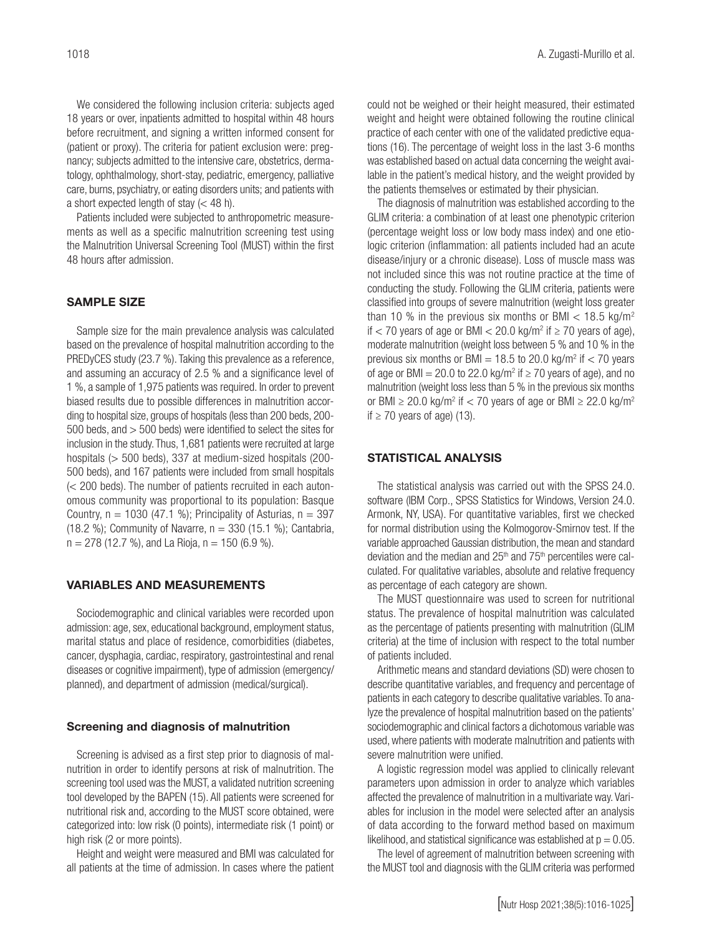We considered the following inclusion criteria: subjects aged 18 years or over, inpatients admitted to hospital within 48 hours before recruitment, and signing a written informed consent for (patient or proxy). The criteria for patient exclusion were: pregnancy; subjects admitted to the intensive care, obstetrics, dermatology, ophthalmology, short-stay, pediatric, emergency, palliative care, burns, psychiatry, or eating disorders units; and patients with a short expected length of stay (< 48 h).

Patients included were subjected to anthropometric measurements as well as a specific malnutrition screening test using the Malnutrition Universal Screening Tool (MUST) within the first 48 hours after admission.

#### SAMPLE SIZE

Sample size for the main prevalence analysis was calculated based on the prevalence of hospital malnutrition according to the PREDyCES study (23.7 %). Taking this prevalence as a reference, and assuming an accuracy of 2.5 % and a significance level of 1 %, a sample of 1,975 patients was required. In order to prevent biased results due to possible differences in malnutrition according to hospital size, groups of hospitals (less than 200 beds, 200- 500 beds, and > 500 beds) were identified to select the sites for inclusion in the study. Thus, 1,681 patients were recruited at large hospitals (> 500 beds), 337 at medium-sized hospitals (200- 500 beds), and 167 patients were included from small hospitals (< 200 beds). The number of patients recruited in each autonomous community was proportional to its population: Basque Country,  $n = 1030$  (47.1 %); Principality of Asturias,  $n = 397$ (18.2 %); Community of Navarre,  $n = 330$  (15.1 %); Cantabria,  $n = 278$  (12.7 %), and La Rioja,  $n = 150$  (6.9 %).

#### VARIABLES AND MEASUREMENTS

Sociodemographic and clinical variables were recorded upon admission: age, sex, educational background, employment status, marital status and place of residence, comorbidities (diabetes, cancer, dysphagia, cardiac, respiratory, gastrointestinal and renal diseases or cognitive impairment), type of admission (emergency/ planned), and department of admission (medical/surgical).

#### Screening and diagnosis of malnutrition

Screening is advised as a first step prior to diagnosis of malnutrition in order to identify persons at risk of malnutrition. The screening tool used was the MUST, a validated nutrition screening tool developed by the BAPEN (15). All patients were screened for nutritional risk and, according to the MUST score obtained, were categorized into: low risk (0 points), intermediate risk (1 point) or high risk (2 or more points).

Height and weight were measured and BMI was calculated for all patients at the time of admission. In cases where the patient

could not be weighed or their height measured, their estimated weight and height were obtained following the routine clinical practice of each center with one of the validated predictive equations (16). The percentage of weight loss in the last 3-6 months was established based on actual data concerning the weight available in the patient's medical history, and the weight provided by the patients themselves or estimated by their physician.

The diagnosis of malnutrition was established according to the GLIM criteria: a combination of at least one phenotypic criterion (percentage weight loss or low body mass index) and one etiologic criterion (inflammation: all patients included had an acute disease/injury or a chronic disease). Loss of muscle mass was not included since this was not routine practice at the time of conducting the study. Following the GLIM criteria, patients were classified into groups of severe malnutrition (weight loss greater than 10 % in the previous six months or BMI  $<$  18.5 kg/m<sup>2</sup> if  $<$  70 years of age or BMI  $<$  20.0 kg/m<sup>2</sup> if  $\geq$  70 years of age), moderate malnutrition (weight loss between 5 % and 10 % in the previous six months or BMI =  $18.5$  to 20.0 kg/m<sup>2</sup> if  $<$  70 years of age or BMI = 20.0 to 22.0 kg/m<sup>2</sup> if  $\geq$  70 years of age), and no malnutrition (weight loss less than 5 % in the previous six months or BMI  $\geq$  20.0 kg/m<sup>2</sup> if  $<$  70 years of age or BMI  $\geq$  22.0 kg/m<sup>2</sup> if ≥ 70 years of age) (13).

#### STATISTICAL ANALYSIS

The statistical analysis was carried out with the SPSS 24.0. software (IBM Corp., SPSS Statistics for Windows, Version 24.0. Armonk, NY, USA). For quantitative variables, first we checked for normal distribution using the Kolmogorov-Smirnov test. If the variable approached Gaussian distribution, the mean and standard deviation and the median and 25<sup>th</sup> and 75<sup>th</sup> percentiles were calculated. For qualitative variables, absolute and relative frequency as percentage of each category are shown.

The MUST questionnaire was used to screen for nutritional status. The prevalence of hospital malnutrition was calculated as the percentage of patients presenting with malnutrition (GLIM criteria) at the time of inclusion with respect to the total number of patients included.

Arithmetic means and standard deviations (SD) were chosen to describe quantitative variables, and frequency and percentage of patients in each category to describe qualitative variables. To analyze the prevalence of hospital malnutrition based on the patients' sociodemographic and clinical factors a dichotomous variable was used, where patients with moderate malnutrition and patients with severe malnutrition were unified.

A logistic regression model was applied to clinically relevant parameters upon admission in order to analyze which variables affected the prevalence of malnutrition in a multivariate way. Variables for inclusion in the model were selected after an analysis of data according to the forward method based on maximum likelihood, and statistical significance was established at  $p = 0.05$ .

The level of agreement of malnutrition between screening with the MUST tool and diagnosis with the GLIM criteria was performed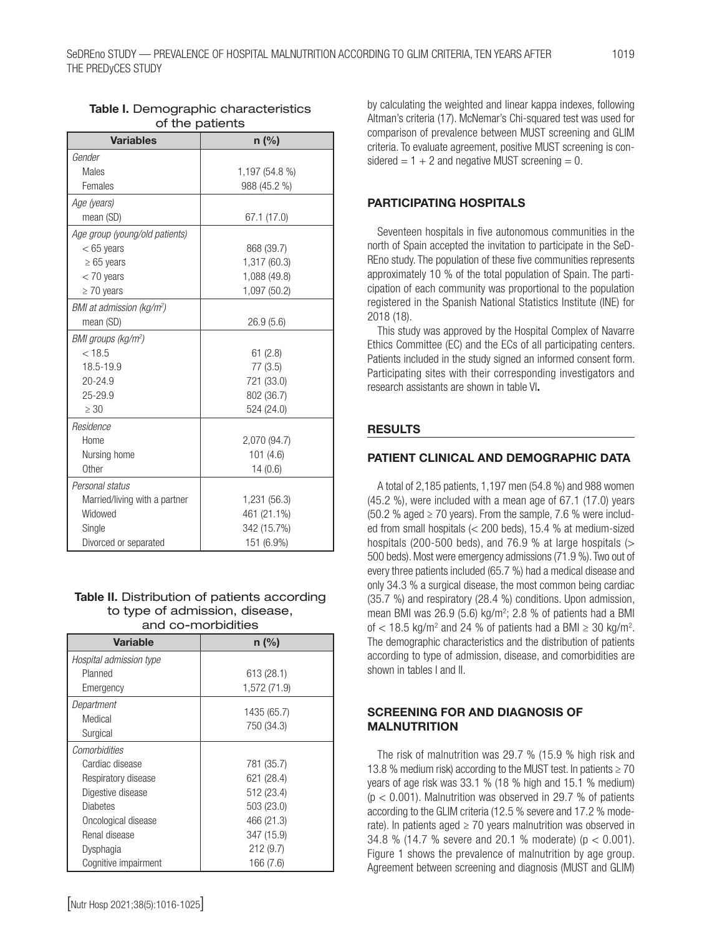| <b>Variables</b>                      | $n$ (%)        |
|---------------------------------------|----------------|
| Gender                                |                |
| Males                                 | 1,197 (54.8 %) |
| Females                               | 988 (45.2 %)   |
| Age (years)                           |                |
| mean (SD)                             | 67.1 (17.0)    |
| Age group (young/old patients)        |                |
| $< 65$ years                          | 868 (39.7)     |
| $\geq 65$ years                       | 1,317 (60.3)   |
| $<$ 70 years                          | 1,088 (49.8)   |
| $\geq 70$ years                       | 1,097 (50.2)   |
| BMI at admission (kg/m <sup>2</sup> ) |                |
| mean (SD)                             | 26.9(5.6)      |
| BMI groups (kg/m <sup>2</sup> )       |                |
| < 18.5                                | 61(2.8)        |
| 18.5-19.9                             | 77 (3.5)       |
| 20-24.9                               | 721 (33.0)     |
| 25-29.9                               | 802 (36.7)     |
| $\geq 30$                             | 524 (24.0)     |
| Residence                             |                |
| Home                                  | 2,070 (94.7)   |
| Nursing home                          | 101(4.6)       |
| Other                                 | 14(0.6)        |
| Personal status                       |                |
| Married/living with a partner         | 1,231 (56.3)   |
| Widowed                               | 461 (21.1%)    |
| Single                                | 342 (15.7%)    |
| Divorced or separated                 | 151 (6.9%)     |

# Table I. Demographic characteristics of the patients

#### Table II. Distribution of patients according to type of admission, disease, and co-morbidities

| <b>Variable</b>         | $n$ (%)      |
|-------------------------|--------------|
| Hospital admission type |              |
| Planned                 | 613(28.1)    |
| Emergency               | 1,572 (71.9) |
| Department              | 1435 (65.7)  |
| Medical                 | 750 (34.3)   |
| Surgical                |              |
| Comorbidities           |              |
| Cardiac disease         | 781 (35.7)   |
| Respiratory disease     | 621 (28.4)   |
| Digestive disease       | 512 (23.4)   |
| <b>Diabetes</b>         | 503 (23.0)   |
| Oncological disease     | 466 (21.3)   |
| Renal disease           | 347 (15.9)   |
| Dysphagia               | 212(9.7)     |
| Cognitive impairment    | 166 (7.6)    |

cipation of each community was proportional to the population registered in the Spanish National Statistics Institute (INE) for 2018 (18).

This study was approved by the Hospital Complex of Navarre Ethics Committee (EC) and the ECs of all participating centers. Patients included in the study signed an informed consent form. Participating sites with their corresponding investigators and research assistants are shown in table VI.

Seventeen hospitals in five autonomous communities in the north of Spain accepted the invitation to participate in the SeD-REno study. The population of these five communities represents approximately 10 % of the total population of Spain. The parti-

by calculating the weighted and linear kappa indexes, following Altman's criteria (17). McNemar's Chi-squared test was used for comparison of prevalence between MUST screening and GLIM criteria. To evaluate agreement, positive MUST screening is con-

sidered  $= 1 + 2$  and negative MUST screening  $= 0$ .

PARTICIPATING HOSPITALS

# **RESULTS**

# PATIENT CLINICAL AND DEMOGRAPHIC DATA

A total of 2,185 patients, 1,197 men (54.8 %) and 988 women (45.2 %), were included with a mean age of 67.1 (17.0) years (50.2 % aged  $\geq$  70 years). From the sample, 7.6 % were included from small hospitals (< 200 beds), 15.4 % at medium-sized hospitals (200-500 beds), and 76.9 % at large hospitals (> 500 beds). Most were emergency admissions (71.9 %). Two out of every three patients included (65.7 %) had a medical disease and only 34.3 % a surgical disease, the most common being cardiac (35.7 %) and respiratory (28.4 %) conditions. Upon admission, mean BMI was  $26.9$  (5.6) kg/m<sup>2</sup>; 2.8 % of patients had a BMI of  $<$  18.5 kg/m<sup>2</sup> and 24 % of patients had a BMI  $\geq$  30 kg/m<sup>2</sup>. The demographic characteristics and the distribution of patients according to type of admission, disease, and comorbidities are shown in tables I and II.

# SCREENING FOR AND DIAGNOSIS OF MALNUTRITION

The risk of malnutrition was 29.7 % (15.9 % high risk and 13.8 % medium risk) according to the MUST test. In patients  $\geq 70$ years of age risk was 33.1 % (18 % high and 15.1 % medium)  $(p < 0.001)$ . Malnutrition was observed in 29.7 % of patients according to the GLIM criteria (12.5 % severe and 17.2 % moderate). In patients aged  $\geq$  70 years malnutrition was observed in 34.8 % (14.7 % severe and 20.1 % moderate) (p < 0.001). Figure 1 shows the prevalence of malnutrition by age group. Agreement between screening and diagnosis (MUST and GLIM)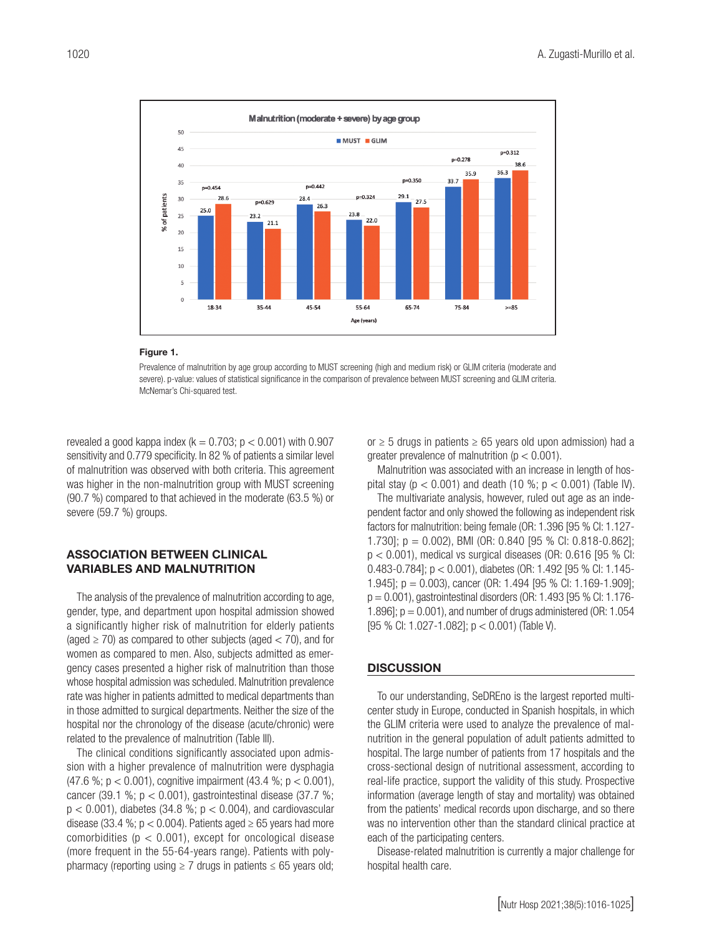

#### Figure 1.

Prevalence of malnutrition by age group according to MUST screening (high and medium risk) or GLIM criteria (moderate and severe). p-value: values of statistical significance in the comparison of prevalence between MUST screening and GLIM criteria. McNemar's Chi-squared test.

revealed a good kappa index ( $k = 0.703$ ;  $p < 0.001$ ) with 0.907 sensitivity and 0.779 specificity. In 82 % of patients a similar level of malnutrition was observed with both criteria. This agreement was higher in the non-malnutrition group with MUST screening (90.7 %) compared to that achieved in the moderate (63.5 %) or severe (59.7 %) groups.

#### ASSOCIATION BETWEEN CLINICAL VARIABLES AND MALNUTRITION

The analysis of the prevalence of malnutrition according to age, gender, type, and department upon hospital admission showed a significantly higher risk of malnutrition for elderly patients (aged  $\geq$  70) as compared to other subjects (aged  $<$  70), and for women as compared to men. Also, subjects admitted as emergency cases presented a higher risk of malnutrition than those whose hospital admission was scheduled. Malnutrition prevalence rate was higher in patients admitted to medical departments than in those admitted to surgical departments. Neither the size of the hospital nor the chronology of the disease (acute/chronic) were related to the prevalence of malnutrition (Table III).

The clinical conditions significantly associated upon admission with a higher prevalence of malnutrition were dysphagia (47.6 %; p < 0.001), cognitive impairment (43.4 %; p < 0.001), cancer (39.1 %;  $p < 0.001$ ), gastrointestinal disease (37.7 %;  $p < 0.001$ ), diabetes (34.8 %;  $p < 0.004$ ), and cardiovascular disease (33.4 %;  $p < 0.004$ ). Patients aged  $\geq 65$  years had more comorbidities ( $p < 0.001$ ), except for oncological disease (more frequent in the 55-64-years range). Patients with polypharmacy (reporting using  $\geq 7$  drugs in patients  $\leq 65$  years old; or  $\geq$  5 drugs in patients  $\geq$  65 years old upon admission) had a greater prevalence of malnutrition ( $p < 0.001$ ).

Malnutrition was associated with an increase in length of hospital stay ( $p < 0.001$ ) and death (10 %;  $p < 0.001$ ) (Table IV).

The multivariate analysis, however, ruled out age as an independent factor and only showed the following as independent risk factors for malnutrition: being female (OR: 1.396 [95 % CI: 1.127- 1.730]; p = 0.002), BMI (OR: 0.840 [95 % CI: 0.818-0.862];  $p < 0.001$ ), medical vs surgical diseases (OR: 0.616 [95 % CI: 0.483-0.784]; p < 0.001), diabetes (OR: 1.492 [95 % CI: 1.145- 1.945]; p = 0.003), cancer (OR: 1.494 [95 % CI: 1.169-1.909]; p = 0.001), gastrointestinal disorders (OR: 1.493 [95 % CI: 1.176- 1.896];  $p = 0.001$ , and number of drugs administered (OR: 1.054) [95 % CI: 1.027-1.082]; p < 0.001) (Table V).

#### **DISCUSSION**

To our understanding, SeDREno is the largest reported multicenter study in Europe, conducted in Spanish hospitals, in which the GLIM criteria were used to analyze the prevalence of malnutrition in the general population of adult patients admitted to hospital. The large number of patients from 17 hospitals and the cross-sectional design of nutritional assessment, according to real-life practice, support the validity of this study. Prospective information (average length of stay and mortality) was obtained from the patients' medical records upon discharge, and so there was no intervention other than the standard clinical practice at each of the participating centers.

Disease-related malnutrition is currently a major challenge for hospital health care.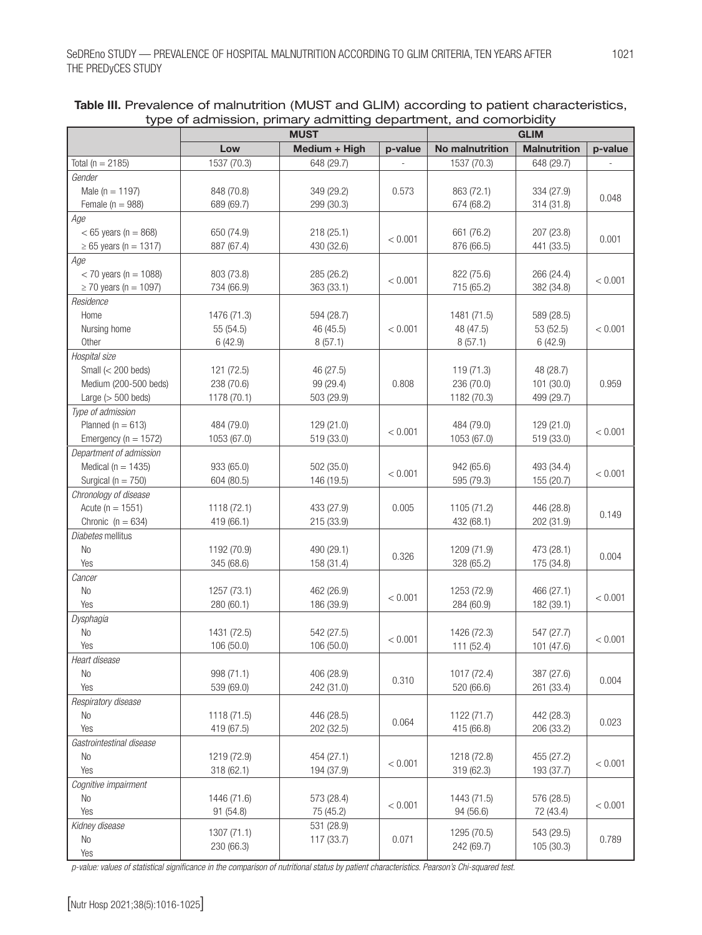|                                 | <b>MUST</b>               |               | <b>GLIM</b> |                           |                     |         |
|---------------------------------|---------------------------|---------------|-------------|---------------------------|---------------------|---------|
|                                 | Low                       | Medium + High | p-value     | No malnutrition           | <b>Malnutrition</b> | p-value |
| Total ( $n = 2185$ )            | 1537 (70.3)               | 648 (29.7)    |             | 1537 (70.3)               | 648 (29.7)          |         |
| Gender                          |                           |               |             |                           |                     |         |
| Male ( $n = 1197$ )             | 848 (70.8)                | 349 (29.2)    | 0.573       | 863 (72.1)                | 334 (27.9)          |         |
| Female ( $n = 988$ )            | 689 (69.7)                | 299 (30.3)    |             | 674 (68.2)                | 314 (31.8)          | 0.048   |
| Age                             |                           |               |             |                           |                     |         |
| $< 65$ years (n = 868)          | 650 (74.9)                | 218 (25.1)    |             | 661 (76.2)                | 207 (23.8)          |         |
| $\ge 65$ years (n = 1317)       | 887 (67.4)                | 430 (32.6)    | < 0.001     | 876 (66.5)                | 441 (33.5)          | 0.001   |
| Age                             |                           |               |             |                           |                     |         |
| $<$ 70 years (n = 1088)         | 803 (73.8)                | 285 (26.2)    |             | 822 (75.6)                | 266 (24.4)          |         |
| $\geq$ 70 years (n = 1097)      | 734 (66.9)                | 363 (33.1)    | < 0.001     | 715 (65.2)                | 382 (34.8)          | < 0.001 |
| Residence                       |                           |               |             |                           |                     |         |
| Home                            | 1476 (71.3)               | 594 (28.7)    |             | 1481 (71.5)               | 589 (28.5)          |         |
| Nursing home                    | 55 (54.5)                 | 46 (45.5)     | < 0.001     | 48 (47.5)                 | 53 (52.5)           | < 0.001 |
| Other                           | 6(42.9)                   | 8(57.1)       |             | 8(57.1)                   | 6(42.9)             |         |
| Hospital size                   |                           |               |             |                           |                     |         |
| Small $(< 200$ beds)            | 121 (72.5)                | 46 (27.5)     |             | 119 (71.3)                | 48 (28.7)           |         |
| Medium (200-500 beds)           | 238 (70.6)                | 99 (29.4)     | 0.808       | 236 (70.0)                | 101 (30.0)          | 0.959   |
| Large $(> 500$ beds)            | 1178 (70.1)               | 503 (29.9)    |             | 1182 (70.3)               | 499 (29.7)          |         |
| Type of admission               |                           |               |             |                           |                     |         |
| Planned ( $n = 613$ )           | 484 (79.0)                | 129 (21.0)    |             | 484 (79.0)                | 129 (21.0)          |         |
| Emergency ( $n = 1572$ )        | 1053 (67.0)               | 519 (33.0)    | < 0.001     | 1053 (67.0)               | 519 (33.0)          | < 0.001 |
| Department of admission         |                           |               |             |                           |                     |         |
| Medical ( $n = 1435$ )          | 933 (65.0)                | 502 (35.0)    |             | 942 (65.6)                | 493 (34.4)          |         |
| Surgical ( $n = 750$ )          | 604 (80.5)                | 146 (19.5)    | < 0.001     | 595 (79.3)                | 155 (20.7)          | < 0.001 |
| Chronology of disease           |                           |               |             |                           |                     |         |
| Acute ( $n = 1551$ )            | 1118 (72.1)               | 433 (27.9)    | 0.005       | 1105 (71.2)               | 446 (28.8)          |         |
| Chronic $(n = 634)$             | 419 (66.1)                | 215 (33.9)    |             | 432 (68.1)                | 202 (31.9)          | 0.149   |
| Diabetes mellitus               |                           |               |             |                           |                     |         |
| No                              | 1192 (70.9)               | 490 (29.1)    |             | 1209 (71.9)               | 473 (28.1)          |         |
| Yes                             | 345 (68.6)                | 158 (31.4)    | 0.326       | 328 (65.2)                | 175 (34.8)          | 0.004   |
|                                 |                           |               |             |                           |                     |         |
| Cancer<br>No                    | 1257 (73.1)               | 462 (26.9)    |             |                           | 466 (27.1)          |         |
| Yes                             | 280 (60.1)                | 186 (39.9)    | < 0.001     | 1253 (72.9)<br>284 (60.9) | 182 (39.1)          | < 0.001 |
| Dysphagia                       |                           |               |             |                           |                     |         |
| <b>No</b>                       | 1431 (72.5)               | 542 (27.5)    |             | 1426 (72.3)               | 547 (27.7)          |         |
| Yes                             | 106 (50.0)                |               | < 0.001     |                           |                     | < 0.001 |
|                                 |                           | 106 (50.0)    |             | 111 (52.4)                | 101 (47.6)          |         |
| Heart disease<br>N <sub>o</sub> | 998 (71.1)                |               |             |                           |                     |         |
| Yes                             |                           | 406 (28.9)    | 0.310       | 1017 (72.4)<br>520 (66.6) | 387 (27.6)          | 0.004   |
|                                 | 539 (69.0)                | 242 (31.0)    |             |                           | 261 (33.4)          |         |
| Respiratory disease             |                           |               |             |                           |                     |         |
| No                              | 1118 (71.5)<br>419 (67.5) | 446 (28.5)    | 0.064       | 1122 (71.7)               | 442 (28.3)          | 0.023   |
| Yes                             |                           | 202 (32.5)    |             | 415 (66.8)                | 206 (33.2)          |         |
| Gastrointestinal disease        |                           |               |             |                           |                     |         |
| No                              | 1219 (72.9)               | 454 (27.1)    | < 0.001     | 1218 (72.8)               | 455 (27.2)          | < 0.001 |
| Yes                             | 318 (62.1)                | 194 (37.9)    |             | 319 (62.3)                | 193 (37.7)          |         |
| Cognitive impairment            |                           |               |             |                           |                     |         |
| No                              | 1446 (71.6)               | 573 (28.4)    | < 0.001     | 1443 (71.5)               | 576 (28.5)          | < 0.001 |
| Yes                             | 91 (54.8)                 | 75 (45.2)     |             | 94 (56.6)                 | 72 (43.4)           |         |
| Kidney disease                  | 1307 (71.1)               | 531 (28.9)    |             | 1295 (70.5)               | 543 (29.5)          |         |
| No                              | 230 (66.3)                | 117 (33.7)    | 0.071       | 242 (69.7)                | 105 (30.3)          | 0.789   |
| Yes                             |                           |               |             |                           |                     |         |

# Table III. Prevalence of malnutrition (MUST and GLIM) according to patient characteristics, type of admission, primary admitting department, and comorbidity

*p-value: values of statistical significance in the comparison of nutritional status by patient characteristics. Pearson's Chi-squared test.*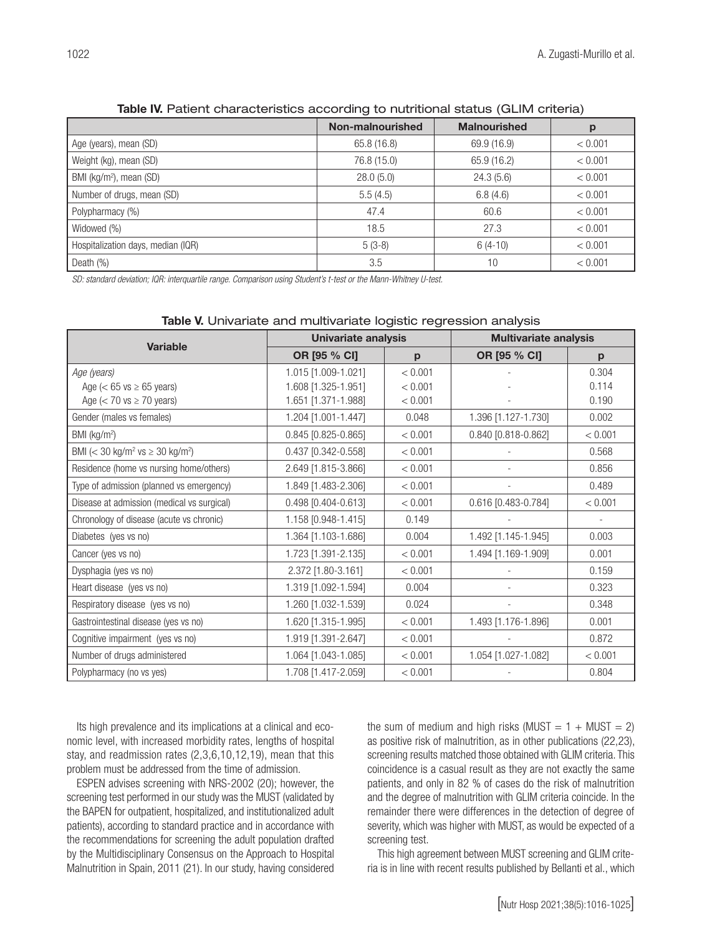|                                     | Non-malnourished | <b>Malnourished</b> | р       |
|-------------------------------------|------------------|---------------------|---------|
| Age (years), mean (SD)              | 65.8 (16.8)      | 69.9 (16.9)         | < 0.001 |
| Weight (kg), mean (SD)              | 76.8 (15.0)      | 65.9 (16.2)         | < 0.001 |
| BMI (kg/m <sup>2</sup> ), mean (SD) | 28.0(5.0)        | 24.3(5.6)           | < 0.001 |
| Number of drugs, mean (SD)          | 5.5(4.5)         | 6.8(4.6)            | < 0.001 |
| Polypharmacy (%)                    | 47.4             | 60.6                | < 0.001 |
| Widowed (%)                         | 18.5             | 27.3                | < 0.001 |
| Hospitalization days, median (IQR)  | $5(3-8)$         | $6(4-10)$           | < 0.001 |
| Death $(\%)$                        | 3.5              | 10                  | < 0.001 |

# Table IV. Patient characteristics according to nutritional status (GLIM criteria)

*SD: standard deviation; IQR: interquartile range. Comparison using Student's t-test or the Mann-Whitney U-test* 

| <b>Variable</b>                                              | <b>Univariate analysis</b> |         | <b>Multivariate analysis</b> |         |  |
|--------------------------------------------------------------|----------------------------|---------|------------------------------|---------|--|
|                                                              | OR [95 % CI]               | p       | OR [95 % CI]                 | p       |  |
| Age (years)                                                  | 1.015 [1.009-1.021]        | < 0.001 |                              | 0.304   |  |
| Age ( $<$ 65 vs $\ge$ 65 years)                              | 1.608 [1.325-1.951]        | < 0.001 |                              | 0.114   |  |
| Age $(< 70$ vs $\geq 70$ years)                              | 1.651 [1.371-1.988]        | < 0.001 |                              | 0.190   |  |
| Gender (males vs females)                                    | 1.204 [1.001-1.447]        | 0.048   | 1.396 [1.127-1.730]          | 0.002   |  |
| BMI ( $kg/m2$ )                                              | 0.845 [0.825-0.865]        | < 0.001 | 0.840 [0.818-0.862]          | < 0.001 |  |
| BMI (< 30 kg/m <sup>2</sup> vs $\geq$ 30 kg/m <sup>2</sup> ) | 0.437 [0.342-0.558]        | < 0.001 |                              | 0.568   |  |
| Residence (home vs nursing home/others)                      | 2.649 [1.815-3.866]        | < 0.001 |                              | 0.856   |  |
| Type of admission (planned vs emergency)                     | 1.849 [1.483-2.306]        | < 0.001 |                              | 0.489   |  |
| Disease at admission (medical vs surgical)                   | 0.498 [0.404-0.613]        | < 0.001 | 0.616 [0.483-0.784]          | < 0.001 |  |
| Chronology of disease (acute vs chronic)                     | 1.158 [0.948-1.415]        | 0.149   |                              |         |  |
| Diabetes (yes vs no)                                         | 1.364 [1.103-1.686]        | 0.004   | 1.492 [1.145-1.945]          | 0.003   |  |
| Cancer (yes vs no)                                           | 1.723 [1.391-2.135]        | < 0.001 | 1.494 [1.169-1.909]          | 0.001   |  |
| Dysphagia (yes vs no)                                        | 2.372 [1.80-3.161]         | < 0.001 |                              | 0.159   |  |
| Heart disease (yes vs no)                                    | 1.319 [1.092-1.594]        | 0.004   |                              | 0.323   |  |
| Respiratory disease (yes vs no)                              | 1.260 [1.032-1.539]        | 0.024   |                              | 0.348   |  |
| Gastrointestinal disease (yes vs no)                         | 1.620 [1.315-1.995]        | < 0.001 | 1.493 [1.176-1.896]          | 0.001   |  |
| Cognitive impairment (yes vs no)                             | 1.919 [1.391-2.647]        | < 0.001 |                              | 0.872   |  |
| Number of drugs administered                                 | 1.064 [1.043-1.085]        | < 0.001 | 1.054 [1.027-1.082]          | < 0.001 |  |
| Polypharmacy (no vs yes)                                     | 1.708 [1.417-2.059]        | < 0.001 |                              | 0.804   |  |

#### Table V. Univariate and multivariate logistic regression analysis

Its high prevalence and its implications at a clinical and economic level, with increased morbidity rates, lengths of hospital stay, and readmission rates (2,3,6,10,12,19), mean that this problem must be addressed from the time of admission.

ESPEN advises screening with NRS-2002 (20); however, the screening test performed in our study was the MUST (validated by the BAPEN for outpatient, hospitalized, and institutionalized adult patients), according to standard practice and in accordance with the recommendations for screening the adult population drafted by the Multidisciplinary Consensus on the Approach to Hospital Malnutrition in Spain, 2011 (21). In our study, having considered

the sum of medium and high risks (MUST =  $1 + MUST = 2$ ) as positive risk of malnutrition, as in other publications (22,23), screening results matched those obtained with GLIM criteria. This coincidence is a casual result as they are not exactly the same patients, and only in 82 % of cases do the risk of malnutrition and the degree of malnutrition with GLIM criteria coincide. In the remainder there were differences in the detection of degree of severity, which was higher with MUST, as would be expected of a screening test.

This high agreement between MUST screening and GLIM criteria is in line with recent results published by Bellanti et al., which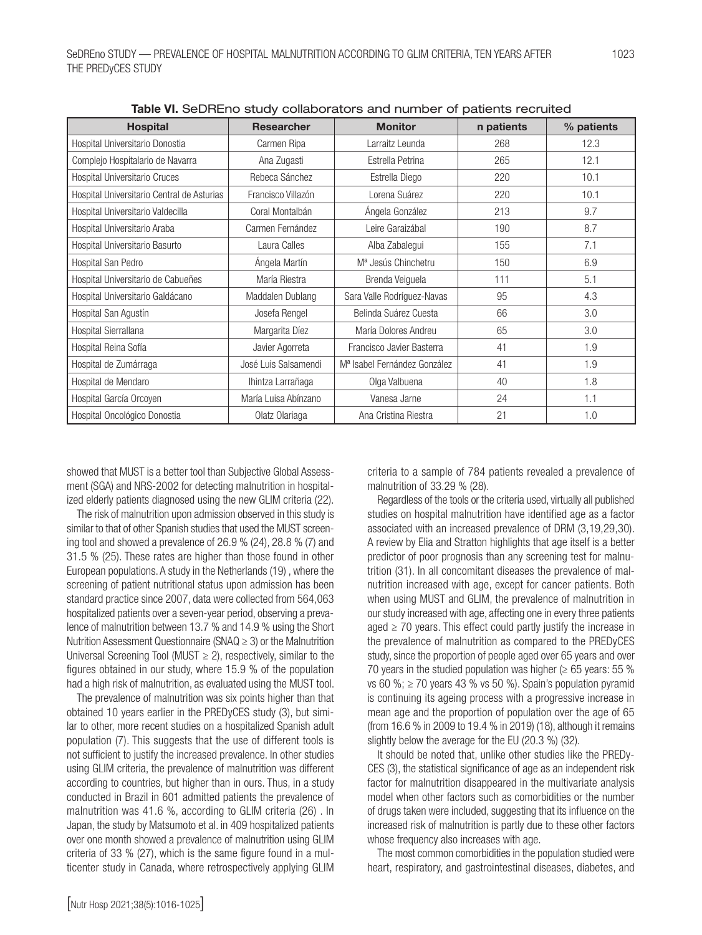| <b>Hospital</b>                            | <b>Researcher</b>    | <b>Monitor</b>                           | n patients | % patients |
|--------------------------------------------|----------------------|------------------------------------------|------------|------------|
| Hospital Universitario Donostia            | Carmen Ripa          | Larraitz Leunda                          | 268        | 12.3       |
| Complejo Hospitalario de Navarra           | Ana Zugasti          | Estrella Petrina                         | 265        | 12.1       |
| Hospital Universitario Cruces              | Rebeca Sánchez       | Estrella Diego                           | 220        | 10.1       |
| Hospital Universitario Central de Asturias | Francisco Villazón   | Lorena Suárez                            | 220        | 10.1       |
| Hospital Universitario Valdecilla          | Coral Montalbán      | Ángela González                          | 213        | 9.7        |
| Hospital Universitario Araba               | Carmen Fernández     | Leire Garaizábal                         | 190        | 8.7        |
| Hospital Universitario Basurto             | Laura Calles         | Alba Zabalegui                           | 155        | 7.1        |
| Hospital San Pedro                         | Ángela Martín        | M <sup>a</sup> Jesús Chinchetru          | 150        | 6.9        |
| Hospital Universitario de Cabueñes         | María Riestra        | Brenda Veiquela                          | 111        | 5.1        |
| Hospital Universitario Galdácano           | Maddalen Dublang     | Sara Valle Rodríguez-Navas               | 95         | 4.3        |
| Hospital San Agustín                       | Josefa Rengel        | Belinda Suárez Cuesta                    | 66         | 3.0        |
| Hospital Sierrallana                       | Margarita Díez       | María Dolores Andreu                     | 65         | 3.0        |
| Hospital Reina Sofía                       | Javier Agorreta      | Francisco Javier Basterra                | 41         | 1.9        |
| Hospital de Zumárraga                      | José Luis Salsamendi | M <sup>a</sup> Isabel Fernández González | 41         | 1.9        |
| Hospital de Mendaro                        | Ihintza Larrañaga    | Olga Valbuena                            | 40         | 1.8        |
| Hospital García Orcoyen                    | María Luisa Abínzano | Vanesa Jarne                             | 24         | 1.1        |
| Hospital Oncológico Donostia               | Olatz Olariaga       | Ana Cristina Riestra                     | 21         | 1.0        |

Table VI. SeDREno study collaborators and number of patients recruited

showed that MUST is a better tool than Subjective Global Assessment (SGA) and NRS-2002 for detecting malnutrition in hospitalized elderly patients diagnosed using the new GLIM criteria (22).

The risk of malnutrition upon admission observed in this study is similar to that of other Spanish studies that used the MUST screening tool and showed a prevalence of 26.9 % (24), 28.8 % (7) and 31.5 % (25). These rates are higher than those found in other European populations. A study in the Netherlands (19) , where the screening of patient nutritional status upon admission has been standard practice since 2007, data were collected from 564,063 hospitalized patients over a seven-year period, observing a prevalence of malnutrition between 13.7 % and 14.9 % using the Short Nutrition Assessment Questionnaire (SNAQ ≥ 3) or the Malnutrition Universal Screening Tool (MUST  $\geq$  2), respectively, similar to the figures obtained in our study, where 15.9 % of the population had a high risk of malnutrition, as evaluated using the MUST tool.

The prevalence of malnutrition was six points higher than that obtained 10 years earlier in the PREDyCES study (3), but similar to other, more recent studies on a hospitalized Spanish adult population (7). This suggests that the use of different tools is not sufficient to justify the increased prevalence. In other studies using GLIM criteria, the prevalence of malnutrition was different according to countries, but higher than in ours. Thus, in a study conducted in Brazil in 601 admitted patients the prevalence of malnutrition was 41.6 %, according to GLIM criteria (26) . In Japan, the study by Matsumoto et al. in 409 hospitalized patients over one month showed a prevalence of malnutrition using GLIM criteria of 33 % (27), which is the same figure found in a multicenter study in Canada, where retrospectively applying GLIM criteria to a sample of 784 patients revealed a prevalence of malnutrition of 33.29 % (28).

Regardless of the tools or the criteria used, virtually all published studies on hospital malnutrition have identified age as a factor associated with an increased prevalence of DRM (3,19,29,30). A review by Elia and Stratton highlights that age itself is a better predictor of poor prognosis than any screening test for malnutrition (31). In all concomitant diseases the prevalence of malnutrition increased with age, except for cancer patients. Both when using MUST and GLIM, the prevalence of malnutrition in our study increased with age, affecting one in every three patients aged  $\geq$  70 years. This effect could partly justify the increase in the prevalence of malnutrition as compared to the PREDyCES study, since the proportion of people aged over 65 years and over 70 years in the studied population was higher ( $\geq 65$  years: 55 % vs 60 %;  $\ge$  70 years 43 % vs 50 %). Spain's population pyramid is continuing its ageing process with a progressive increase in mean age and the proportion of population over the age of 65 (from 16.6 % in 2009 to 19.4 % in 2019) (18), although it remains slightly below the average for the EU (20.3 %) (32).

It should be noted that, unlike other studies like the PREDy-CES (3), the statistical significance of age as an independent risk factor for malnutrition disappeared in the multivariate analysis model when other factors such as comorbidities or the number of drugs taken were included, suggesting that its influence on the increased risk of malnutrition is partly due to these other factors whose frequency also increases with age.

The most common comorbidities in the population studied were heart, respiratory, and gastrointestinal diseases, diabetes, and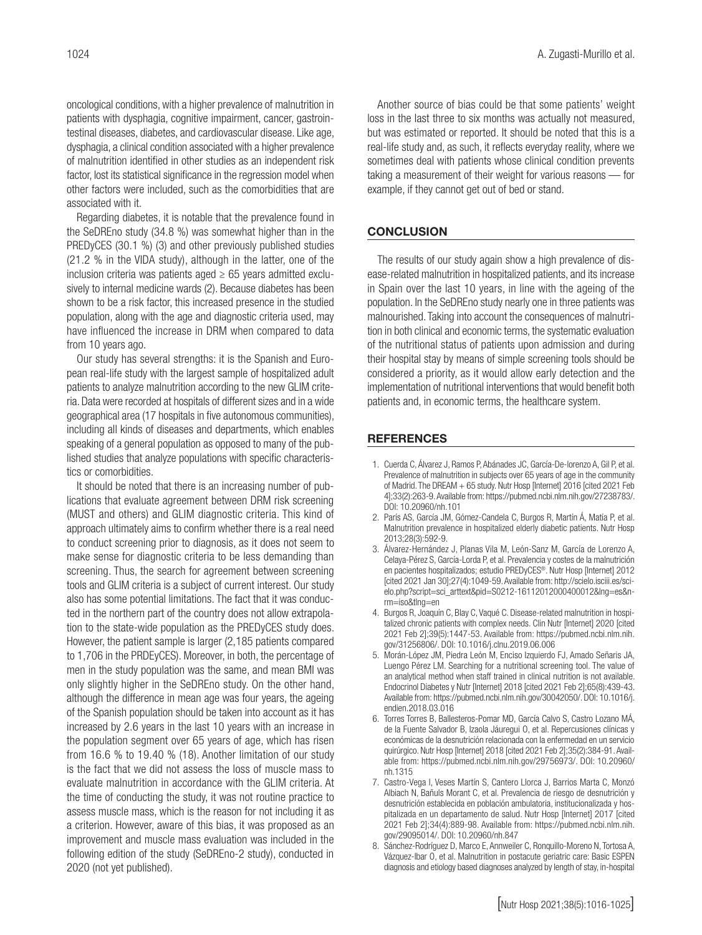oncological conditions, with a higher prevalence of malnutrition in patients with dysphagia, cognitive impairment, cancer, gastrointestinal diseases, diabetes, and cardiovascular disease. Like age, dysphagia, a clinical condition associated with a higher prevalence of malnutrition identified in other studies as an independent risk factor, lost its statistical significance in the regression model when other factors were included, such as the comorbidities that are associated with it.

Regarding diabetes, it is notable that the prevalence found in the SeDREno study (34.8 %) was somewhat higher than in the PREDyCES (30.1 %) (3) and other previously published studies (21.2 % in the VIDA study), although in the latter, one of the inclusion criteria was patients aged  $\geq 65$  years admitted exclusively to internal medicine wards (2). Because diabetes has been shown to be a risk factor, this increased presence in the studied population, along with the age and diagnostic criteria used, may have influenced the increase in DRM when compared to data from 10 years ago.

Our study has several strengths: it is the Spanish and European real-life study with the largest sample of hospitalized adult patients to analyze malnutrition according to the new GLIM criteria. Data were recorded at hospitals of different sizes and in a wide geographical area (17 hospitals in five autonomous communities), including all kinds of diseases and departments, which enables speaking of a general population as opposed to many of the published studies that analyze populations with specific characteristics or comorbidities.

It should be noted that there is an increasing number of publications that evaluate agreement between DRM risk screening (MUST and others) and GLIM diagnostic criteria. This kind of approach ultimately aims to confirm whether there is a real need to conduct screening prior to diagnosis, as it does not seem to make sense for diagnostic criteria to be less demanding than screening. Thus, the search for agreement between screening tools and GLIM criteria is a subject of current interest. Our study also has some potential limitations. The fact that it was conducted in the northern part of the country does not allow extrapolation to the state-wide population as the PREDyCES study does. However, the patient sample is larger (2,185 patients compared to 1,706 in the PRDEyCES). Moreover, in both, the percentage of men in the study population was the same, and mean BMI was only slightly higher in the SeDREno study. On the other hand, although the difference in mean age was four years, the ageing of the Spanish population should be taken into account as it has increased by 2.6 years in the last 10 years with an increase in the population segment over 65 years of age, which has risen from 16.6 % to 19.40 % (18). Another limitation of our study is the fact that we did not assess the loss of muscle mass to evaluate malnutrition in accordance with the GLIM criteria. At the time of conducting the study, it was not routine practice to assess muscle mass, which is the reason for not including it as a criterion. However, aware of this bias, it was proposed as an improvement and muscle mass evaluation was included in the following edition of the study (SeDREno-2 study), conducted in 2020 (not yet published).

Another source of bias could be that some patients' weight loss in the last three to six months was actually not measured, but was estimated or reported. It should be noted that this is a real-life study and, as such, it reflects everyday reality, where we sometimes deal with patients whose clinical condition prevents taking a measurement of their weight for various reasons — for example, if they cannot get out of bed or stand.

## **CONCLUSION**

The results of our study again show a high prevalence of disease-related malnutrition in hospitalized patients, and its increase in Spain over the last 10 years, in line with the ageing of the population. In the SeDREno study nearly one in three patients was malnourished. Taking into account the consequences of malnutrition in both clinical and economic terms, the systematic evaluation of the nutritional status of patients upon admission and during their hospital stay by means of simple screening tools should be considered a priority, as it would allow early detection and the implementation of nutritional interventions that would benefit both patients and, in economic terms, the healthcare system.

#### REFERENCES

- 1. Cuerda C, Álvarez J, Ramos P, Abánades JC, García-De-lorenzo A, Gil P, et al. Prevalence of malnutrition in subjects over 65 years of age in the community of Madrid. The DREAM + 65 study. Nutr Hosp [Internet] 2016 [cited 2021 Feb 4];33(2):263-9. Available from: https://pubmed.ncbi.nlm.nih.gov/27238783/. DOI: 10.20960/nh.101
- 2. París AS, García JM, Gómez-Candela C, Burgos R, Martín Á, Matía P, et al. Malnutrition prevalence in hospitalized elderly diabetic patients. Nutr Hosp 2013;28(3):592-9.
- 3. Álvarez-Hernández J, Planas Vila M, León-Sanz M, García de Lorenzo A, Celaya-Pérez S, García-Lorda P, et al. Prevalencia y costes de la malnutrición en pacientes hospitalizados; estudio PREDyCES®. Nutr Hosp [Internet] 2012 [cited 2021 Jan 30];27(4):1049-59. Available from: http://scielo.isciii.es/scielo.php?script=sci\_arttext&pid=S0212-16112012000400012&lng=es&nrm=iso&tlng=en
- 4. Burgos R, Joaquín C, Blay C, Vaqué C. Disease-related malnutrition in hospitalized chronic patients with complex needs. Clin Nutr [Internet] 2020 [cited 2021 Feb 2];39(5):1447-53. Available from: https://pubmed.ncbi.nlm.nih. gov/31256806/. DOI: 10.1016/j.clnu.2019.06.006
- 5. Morán-López JM, Piedra León M, Enciso Izquierdo FJ, Amado Señaris JA, Luengo Pérez LM. Searching for a nutritional screening tool. The value of an analytical method when staff trained in clinical nutrition is not available. Endocrinol Diabetes y Nutr [Internet] 2018 [cited 2021 Feb 2];65(8):439-43. Available from: https://pubmed.ncbi.nlm.nih.gov/30042050/. DOI: 10.1016/j. endien.2018.03.016
- 6. Torres Torres B, Ballesteros-Pomar MD, García Calvo S, Castro Lozano MÁ, de la Fuente Salvador B, Izaola Jáuregui O, et al. Repercusiones clínicas y económicas de la desnutrición relacionada con la enfermedad en un servicio quirúrgico. Nutr Hosp [Internet] 2018 [cited 2021 Feb 2];35(2):384-91. Available from: https://pubmed.ncbi.nlm.nih.gov/29756973/. DOI: 10.20960/ nh.1315
- 7. Castro-Vega I, Veses Martín S, Cantero Llorca J, Barrios Marta C, Monzó Albiach N, Bañuls Morant C, et al. Prevalencia de riesgo de desnutrición y desnutrición establecida en población ambulatoria, institucionalizada y hospitalizada en un departamento de salud. Nutr Hosp [Internet] 2017 [cited 2021 Feb 2];34(4):889-98. Available from: https://pubmed.ncbi.nlm.nih. gov/29095014/. DOI: 10.20960/nh.847
- 8. Sánchez-Rodríguez D, Marco E, Annweiler C, Ronquillo-Moreno N, Tortosa A, Vázquez-Ibar O, et al. Malnutrition in postacute geriatric care: Basic ESPEN diagnosis and etiology based diagnoses analyzed by length of stay, in-hospital